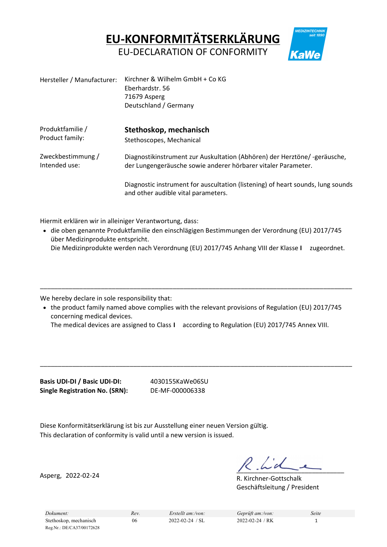EU-KONFORMITÄTSERKLÄRUNG

EU-DECLARATION OF CONFORMITY

| Hersteller / Manufacturer: | Kirchner & Wilhelm GmbH + Co KG<br>Eberhardstr. 56<br>71679 Asperg<br>Deutschland / Germany                            |
|----------------------------|------------------------------------------------------------------------------------------------------------------------|
| Produktfamilie /           | Stethoskop, mechanisch                                                                                                 |
| Product family:            | Stethoscopes, Mechanical                                                                                               |
| Zweckbestimmung /          | Diagnostikinstrument zur Auskultation (Abhören) der Herztöne/-geräusche,                                               |
| Intended use:              | der Lungengeräusche sowie anderer hörbarer vitaler Parameter.                                                          |
|                            | Diagnostic instrument for auscultation (listening) of heart sounds, lung sounds<br>and other audible vital parameters. |

Hiermit erklären wir in alleiniger Verantwortung, dass:

• die oben genannte Produktfamilie den einschlägigen Bestimmungen der Verordnung (EU) 2017/745 über Medizinprodukte entspricht. Die Medizinprodukte werden nach Verordnung (EU) 2017/745 Anhang VIII der Klasse I zugeordnet.

We hereby declare in sole responsibility that:

• the product family named above complies with the relevant provisions of Regulation (EU) 2017/745 concerning medical devices.

\_\_\_\_\_\_\_\_\_\_\_\_\_\_\_\_\_\_\_\_\_\_\_\_\_\_\_\_\_\_\_\_\_\_\_\_\_\_\_\_\_\_\_\_\_\_\_\_\_\_\_\_\_\_\_\_\_\_\_\_\_\_\_\_\_\_\_\_\_\_\_\_\_\_\_\_\_\_\_\_\_\_\_\_\_\_\_

\_\_\_\_\_\_\_\_\_\_\_\_\_\_\_\_\_\_\_\_\_\_\_\_\_\_\_\_\_\_\_\_\_\_\_\_\_\_\_\_\_\_\_\_\_\_\_\_\_\_\_\_\_\_\_\_\_\_\_\_\_\_\_\_\_\_\_\_\_\_\_\_\_\_\_\_\_\_\_\_\_\_\_\_\_\_\_

The medical devices are assigned to Class I according to Regulation (EU) 2017/745 Annex VIII.

Basis UDI-DI / Basic UDI-DI: 4030155KaWe06SU Single Registration No. (SRN): DE-MF-000006338

Diese Konformitätserklärung ist bis zur Ausstellung einer neuen Version gültig. This declaration of conformity is valid until a new version is issued.

Asperg, 2022-02-24

 $\frac{1}{2}$ 

R. Kirchner-Gottschalk Geschäftsleitung / President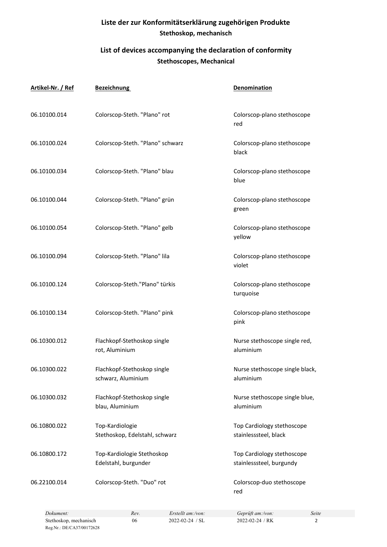## Liste der zur Konformitätserklärung zugehörigen Produkte Stethoskop, mechanisch

## List of devices accompanying the declaration of conformity Stethoscopes, Mechanical

| Artikel-Nr. / Ref | <b>Bezeichnung</b>                                 | <b>Denomination</b>                                    |
|-------------------|----------------------------------------------------|--------------------------------------------------------|
| 06.10100.014      | Colorscop-Steth. "Plano" rot                       | Colorscop-plano stethoscope<br>red                     |
| 06.10100.024      | Colorscop-Steth. "Plano" schwarz                   | Colorscop-plano stethoscope<br>black                   |
| 06.10100.034      | Colorscop-Steth. "Plano" blau                      | Colorscop-plano stethoscope<br>blue                    |
| 06.10100.044      | Colorscop-Steth. "Plano" grün                      | Colorscop-plano stethoscope<br>green                   |
| 06.10100.054      | Colorscop-Steth. "Plano" gelb                      | Colorscop-plano stethoscope<br>yellow                  |
| 06.10100.094      | Colorscop-Steth. "Plano" lila                      | Colorscop-plano stethoscope<br>violet                  |
| 06.10100.124      | Colorscop-Steth."Plano" türkis                     | Colorscop-plano stethoscope<br>turquoise               |
| 06.10100.134      | Colorscop-Steth. "Plano" pink                      | Colorscop-plano stethoscope<br>pink                    |
| 06.10300.012      | Flachkopf-Stethoskop single<br>rot, Aluminium      | Nurse stethoscope single red,<br>aluminium             |
| 06.10300.022      | Flachkopf-Stethoskop single<br>schwarz, Aluminium  | Nurse stethoscope single black,<br>aluminium           |
| 06.10300.032      | Flachkopf-Stethoskop single<br>blau, Aluminium     | Nurse stethoscope single blue,<br>aluminium            |
| 06.10800.022      | Top-Kardiologie<br>Stethoskop, Edelstahl, schwarz  | Top Cardiology stethoscope<br>stainlesssteel, black    |
| 06.10800.172      | Top-Kardiologie Stethoskop<br>Edelstahl, burgunder | Top Cardiology stethoscope<br>stainlesssteel, burgundy |
| 06.22100.014      | Colorscop-Steth. "Duo" rot                         | Colorscop-duo stethoscope<br>red                       |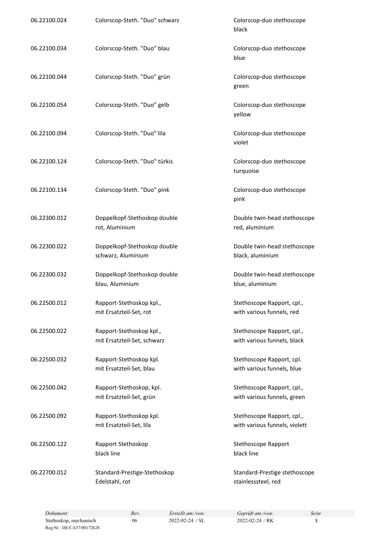| 06.22100.024 | Colorscop-Steth. "Duo" schwarz                          | Colorscop-duo stethoscope<br>black                          |
|--------------|---------------------------------------------------------|-------------------------------------------------------------|
| 06.22100.034 | Colorscop-Steth. "Duo" blau                             | Colorscop-duo stethoscope<br>blue                           |
| 06.22100.044 | Colorscop-Steth. "Duo" grün                             | Colorscop-duo stethoscope<br>green                          |
| 06.22100.054 | Colorscop-Steth. "Duo" gelb                             | Colorscop-duo stethoscope<br>yellow                         |
| 06.22100.094 | Colorscop-Steth. "Duo" lila                             | Colorscop-duo stethoscope<br>violet                         |
| 06.22100.124 | Colorscop-Steth. "Duo" türkis                           | Colorscop-duo stethoscope<br>turquoise                      |
| 06.22100.134 | Colorscop-Steth. "Duo" pink                             | Colorscop-duo stethoscope<br>pink                           |
| 06.22300.012 | Doppelkopf-Stethoskop double<br>rot, Aluminium          | Double twin-head stethoscope<br>red, aluminium              |
| 06.22300.022 | Doppelkopf-Stethoskop double<br>schwarz, Aluminium      | Double twin-head stethoscope<br>black, aluminium            |
| 06.22300.032 | Doppelkopf-Stethoskop double<br>blau, Aluminium         | Double twin-head stethoscope<br>blue, aluminium             |
| 06.22500.012 | Rapport-Stethoskop kpl.,<br>mit Ersatzteil-Set, rot     | Stethoscope Rapport, cpl.,<br>with various funnels, red     |
| 06.22500.022 | Rapport-Stethoskop kpl.,<br>mit Ersatzteil-Set, schwarz | Stethoscope Rapport, cpl.,<br>with various funnels, black   |
| 06.22500.032 | Rapport-Stethoskop kpl.<br>mit Ersatzteil-Set, blau     | Stethoscope Rapport, cpl.<br>with various funnels, blue     |
| 06.22500.042 | Rapport-Stethoskop, kpl.<br>mit Ersatzteil-Set, grün    | Stethoscope Rapport, cpl.,<br>with various funnels, green   |
| 06.22500.092 | Rapport-Stethoskop kpl.<br>mit Ersatzteil-Set, lila     | Stethoscope Rapport, cpl.,<br>with various funnels, violett |
| 06.22500.122 | Rapport Stethoskop<br>black line                        | Stethoscope Rapport<br>black line                           |
| 06.22700.012 | Standard-Prestige-Stethoskop<br>Edelstahl, rot          | Standard-Prestige stethoscope<br>stainlesssteel, red        |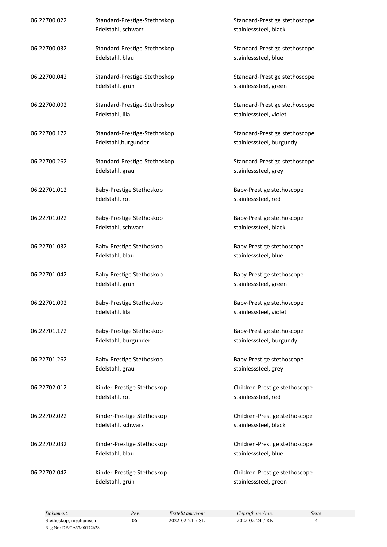| 06.22700.022 | Standard-Prestige-Stethoskop<br>Edelstahl, schwarz   | Standard-Prestige stethoscope<br>stainlesssteel, black    |
|--------------|------------------------------------------------------|-----------------------------------------------------------|
| 06.22700.032 | Standard-Prestige-Stethoskop<br>Edelstahl, blau      | Standard-Prestige stethoscope<br>stainlesssteel, blue     |
| 06.22700.042 | Standard-Prestige-Stethoskop<br>Edelstahl, grün      | Standard-Prestige stethoscope<br>stainlesssteel, green    |
| 06.22700.092 | Standard-Prestige-Stethoskop<br>Edelstahl, lila      | Standard-Prestige stethoscope<br>stainlesssteel, violet   |
| 06.22700.172 | Standard-Prestige-Stethoskop<br>Edelstahl, burgunder | Standard-Prestige stethoscope<br>stainlesssteel, burgundy |
| 06.22700.262 | Standard-Prestige-Stethoskop<br>Edelstahl, grau      | Standard-Prestige stethoscope<br>stainlesssteel, grey     |
| 06.22701.012 | Baby-Prestige Stethoskop<br>Edelstahl, rot           | Baby-Prestige stethoscope<br>stainlesssteel, red          |
| 06.22701.022 | Baby-Prestige Stethoskop<br>Edelstahl, schwarz       | Baby-Prestige stethoscope<br>stainlesssteel, black        |
| 06.22701.032 | Baby-Prestige Stethoskop<br>Edelstahl, blau          | Baby-Prestige stethoscope<br>stainlesssteel, blue         |
| 06.22701.042 | Baby-Prestige Stethoskop<br>Edelstahl, grün          | Baby-Prestige stethoscope<br>stainlesssteel, green        |
| 06.22701.092 | Baby-Prestige Stethoskop<br>Edelstahl, lila          | Baby-Prestige stethoscope<br>stainlesssteel, violet       |
| 06.22701.172 | Baby-Prestige Stethoskop<br>Edelstahl, burgunder     | Baby-Prestige stethoscope<br>stainlesssteel, burgundy     |
| 06.22701.262 | Baby-Prestige Stethoskop<br>Edelstahl, grau          | Baby-Prestige stethoscope<br>stainlesssteel, grey         |
| 06.22702.012 | Kinder-Prestige Stethoskop<br>Edelstahl, rot         | Children-Prestige stethoscope<br>stainlesssteel, red      |
| 06.22702.022 | Kinder-Prestige Stethoskop<br>Edelstahl, schwarz     | Children-Prestige stethoscope<br>stainlesssteel, black    |
| 06.22702.032 | Kinder-Prestige Stethoskop<br>Edelstahl, blau        | Children-Prestige stethoscope<br>stainlesssteel, blue     |
| 06.22702.042 | Kinder-Prestige Stethoskop<br>Edelstahl, grün        | Children-Prestige stethoscope<br>stainlesssteel, green    |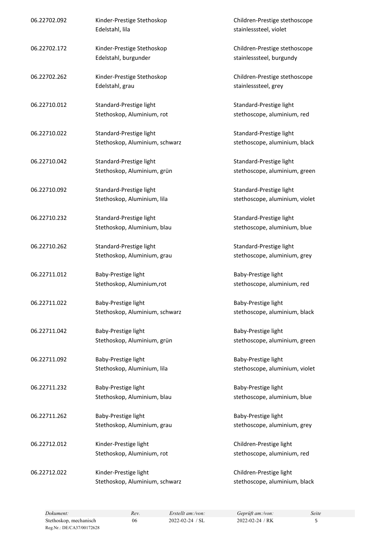| 06.22702.092 | Kinder-Prestige Stethoskop<br>Edelstahl, lila             | Children-Prestige stethoscope<br>stainlesssteel, violet   |
|--------------|-----------------------------------------------------------|-----------------------------------------------------------|
| 06.22702.172 | Kinder-Prestige Stethoskop<br>Edelstahl, burgunder        | Children-Prestige stethoscope<br>stainlesssteel, burgundy |
| 06.22702.262 | Kinder-Prestige Stethoskop<br>Edelstahl, grau             | Children-Prestige stethoscope<br>stainlesssteel, grey     |
| 06.22710.012 | Standard-Prestige light<br>Stethoskop, Aluminium, rot     | Standard-Prestige light<br>stethoscope, aluminium, red    |
| 06.22710.022 | Standard-Prestige light<br>Stethoskop, Aluminium, schwarz | Standard-Prestige light<br>stethoscope, aluminium, black  |
| 06.22710.042 | Standard-Prestige light<br>Stethoskop, Aluminium, grün    | Standard-Prestige light<br>stethoscope, aluminium, green  |
| 06.22710.092 | Standard-Prestige light<br>Stethoskop, Aluminium, lila    | Standard-Prestige light<br>stethoscope, aluminium, violet |
| 06.22710.232 | Standard-Prestige light<br>Stethoskop, Aluminium, blau    | Standard-Prestige light<br>stethoscope, aluminium, blue   |
| 06.22710.262 | Standard-Prestige light<br>Stethoskop, Aluminium, grau    | Standard-Prestige light<br>stethoscope, aluminium, grey   |
| 06.22711.012 | Baby-Prestige light<br>Stethoskop, Aluminium,rot          | Baby-Prestige light<br>stethoscope, aluminium, red        |
| 06.22711.022 | Baby-Prestige light<br>Stethoskop, Aluminium, schwarz     | Baby-Prestige light<br>stethoscope, aluminium, black      |
| 06.22711.042 | Baby-Prestige light<br>Stethoskop, Aluminium, grün        | Baby-Prestige light<br>stethoscope, aluminium, green      |
| 06.22711.092 | Baby-Prestige light<br>Stethoskop, Aluminium, lila        | Baby-Prestige light<br>stethoscope, aluminium, violet     |
| 06.22711.232 | Baby-Prestige light<br>Stethoskop, Aluminium, blau        | Baby-Prestige light<br>stethoscope, aluminium, blue       |
| 06.22711.262 | Baby-Prestige light<br>Stethoskop, Aluminium, grau        | Baby-Prestige light<br>stethoscope, aluminium, grey       |
| 06.22712.012 | Kinder-Prestige light<br>Stethoskop, Aluminium, rot       | Children-Prestige light<br>stethoscope, aluminium, red    |
| 06.22712.022 | Kinder-Prestige light<br>Stethoskop, Aluminium, schwarz   | Children-Prestige light<br>stethoscope, aluminium, black  |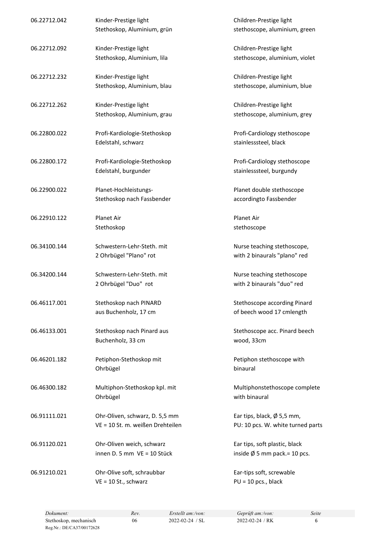| 06.22712.042 | Kinder-Prestige light<br>Stethoskop, Aluminium, grün               | Children-Prestige light<br>stethoscope, aluminium, green                  |
|--------------|--------------------------------------------------------------------|---------------------------------------------------------------------------|
| 06.22712.092 | Kinder-Prestige light<br>Stethoskop, Aluminium, lila               | Children-Prestige light<br>stethoscope, aluminium, violet                 |
| 06.22712.232 | Kinder-Prestige light<br>Stethoskop, Aluminium, blau               | Children-Prestige light<br>stethoscope, aluminium, blue                   |
| 06.22712.262 | Kinder-Prestige light<br>Stethoskop, Aluminium, grau               | Children-Prestige light<br>stethoscope, aluminium, grey                   |
| 06.22800.022 | Profi-Kardiologie-Stethoskop<br>Edelstahl, schwarz                 | Profi-Cardiology stethoscope<br>stainlesssteel, black                     |
| 06.22800.172 | Profi-Kardiologie-Stethoskop<br>Edelstahl, burgunder               | Profi-Cardiology stethoscope<br>stainlesssteel, burgundy                  |
| 06.22900.022 | Planet-Hochleistungs-<br>Stethoskop nach Fassbender                | Planet double stethoscope<br>accordingto Fassbender                       |
| 06.22910.122 | Planet Air<br>Stethoskop                                           | Planet Air<br>stethoscope                                                 |
| 06.34100.144 | Schwestern-Lehr-Steth, mit<br>2 Ohrbügel "Plano" rot               | Nurse teaching stethoscope,<br>with 2 binaurals "plano" red               |
| 06.34200.144 | Schwestern-Lehr-Steth. mit<br>2 Ohrbügel "Duo" rot                 | Nurse teaching stethoscope<br>with 2 binaurals "duo" red                  |
| 06.46117.001 | Stethoskop nach PINARD<br>aus Buchenholz, 17 cm                    | Stethoscope according Pinard<br>of beech wood 17 cmlength                 |
| 06.46133.001 | Stethoskop nach Pinard aus<br>Buchenholz, 33 cm                    | Stethoscope acc. Pinard beech<br>wood, 33cm                               |
| 06.46201.182 | Petiphon-Stethoskop mit<br>Ohrbügel                                | Petiphon stethoscope with<br>binaural                                     |
| 06.46300.182 | Multiphon-Stethoskop kpl. mit<br>Ohrbügel                          | Multiphonstethoscope complete<br>with binaural                            |
| 06.91111.021 | Ohr-Oliven, schwarz, D. 5,5 mm<br>VE = 10 St. m. weißen Drehteilen | Ear tips, black, $\emptyset$ 5,5 mm,<br>PU: 10 pcs. W. white turned parts |
| 06.91120.021 | Ohr-Oliven weich, schwarz<br>innen D. 5 mm VE = 10 Stück           | Ear tips, soft plastic, black<br>inside $\emptyset$ 5 mm pack.= 10 pcs.   |
| 06.91210.021 | Ohr-Olive soft, schraubbar<br>$VE = 10$ St., schwarz               | Ear-tips soft, screwable<br>$PU = 10$ pcs., black                         |